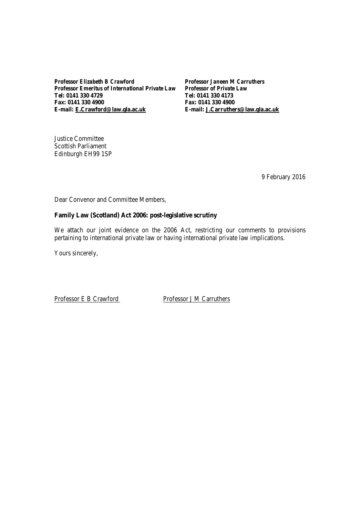*Professor Elizabeth B Crawford Professor Janeen M Carruthers Professor Emeritus of International Private Law* Tel: 0141 330 4729 **Fax: 0141 330 4900 Fax: 0141 330 4900**

**Tel: 0141 330 4729 Tel: 0141 330 4173 E-mail: E.Crawford@law.gla.ac.uk E-mail: J.Carruthers@law.gla.ac.uk**

Justice Committee Scottish Parliament Edinburgh EH99 1SP

9 February 2016

Dear Convenor and Committee Members,

## **Family Law (Scotland) Act 2006: post-legislative scrutiny**

We attach our joint evidence on the 2006 Act, restricting our comments to provisions pertaining to international private law or having international private law implications.

Yours sincerely,

Professor E B Crawford Professor J M Carruthers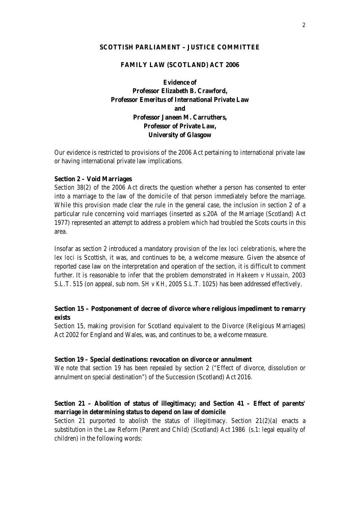#### **SCOTTISH PARLIAMENT – JUSTICE COMMITTEE**

## **FAMILY LAW (SCOTLAND) ACT 2006**

**Evidence of Professor Elizabeth B. Crawford, Professor Emeritus of International Private Law and Professor Janeen M. Carruthers, Professor of Private Law, University of Glasgow**

Our evidence is restricted to provisions of the 2006 Act pertaining to international private law or having international private law implications.

#### **Section 2 – Void Marriages**

Section 38(2) of the 2006 Act directs the question whether a person has consented to enter into a marriage to the law of the domicile of that person immediately before the marriage. While this provision made clear the rule in the general case, the inclusion in section 2 of a particular rule concerning void marriages (inserted as s.20A of the Marriage (Scotland) Act 1977) represented an attempt to address a problem which had troubled the Scots courts in this area.

Insofar as section 2 introduced a mandatory provision of the *lex loci celebrationis*, where the *lex loci* is Scottish, it was, and continues to be, a welcome measure. Given the absence of reported case law on the interpretation and operation of the section, it is difficult to comment further. It is reasonable to infer that the problem demonstrated in *Hakeem v Hussain*, 2003 S.L.T. 515 (on appeal, sub nom. *SH v KH*, 2005 S.L.T. 1025) has been addressed effectively.

# **Section 15 – Postponement of decree of divorce where religious impediment to remarry exists**

Section 15, making provision for Scotland equivalent to the Divorce (Religious Marriages) Act 2002 for England and Wales, was, and continues to be, a welcome measure.

#### **Section 19 – Special destinations: revocation on divorce or annulment**

We note that section 19 has been repealed by section 2 ("Effect of divorce, dissolution or annulment on special destination") of the Succession (Scotland) Act 2016.

# **Section 21 – Abolition of status of illegitimacy; and Section 41 – Effect of parents' marriage in determining status to depend on law of domicile**

Section 21 purported to abolish the status of illegitimacy. Section  $21(2)(a)$  enacts a substitution in the Law Reform (Parent and Child) (Scotland) Act 1986 (s.1: legal equality of children) in the following words: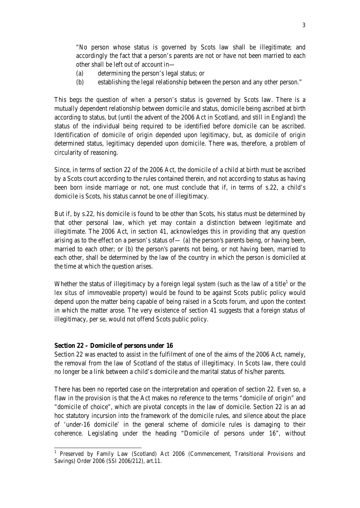"No person whose status is governed by Scots law shall be illegitimate; and accordingly the fact that a person's parents are not or have not been married to each other shall be left out of account in—

- (a) determining the person's legal status; or
- (b) establishing the legal relationship between the person and any other person."

This begs the question of *when* a person's status is governed by Scots law. There is a mutually dependent relationship between domicile and status, domicile being ascribed at birth according to status, but (until the advent of the 2006 Act in Scotland, and still in England) the status of the individual being required to be identified before domicile can be ascribed. Identification of domicile of origin depended upon legitimacy, but, as domicile of origin determined status, legitimacy depended upon domicile. There was, therefore, a problem of circularity of reasoning.

Since, in terms of section 22 of the 2006 Act, the domicile of a child at birth must be ascribed by a Scots court according to the rules contained therein, and not according to status as having been born inside marriage or not, one must conclude that if, in terms of s.22, a child's domicile is Scots, his status cannot be one of illegitimacy.

But if, by s.22, his domicile is found to be other than Scots, his status must be determined by that other personal law, which yet may contain a distinction between legitimate and illegitimate. The 2006 Act, in section 41, acknowledges this in providing that any question arising as to the effect on a person's status of  $-$  (a) the person's parents being, or having been, married to each other; or (b) the person's parents not being, or not having been, married to each other, shall be determined by the law of the country in which the person is domiciled at the time at which the question arises.

Whether the status of illegitimacy by a foreign legal system (such as the law of a title<sup>[1](#page-2-0)</sup> or the *lex situs* of immoveable property) would be found to be against Scots public policy would depend upon the matter being capable of being raised in a Scots forum, and upon the context in which the matter arose. The very existence of section 41 suggests that a foreign status of illegitimacy, per se, would not offend Scots public policy.

## **Section 22 – Domicile of persons under 16**

Section 22 was enacted to assist in the fulfilment of one of the aims of the 2006 Act, namely, the removal from the law of Scotland of the status of illegitimacy. In Scots law, there could no longer be a link between a child's domicile and the marital status of his/her parents.

There has been no reported case on the interpretation and operation of section 22. Even so, a flaw in the provision is that the Act makes no reference to the terms "domicile of origin" and "domicile of choice", which are pivotal concepts in the law of domicile. Section 22 is an ad hoc statutory incursion into the framework of the domicile rules, and silence about the place of 'under-16 domicile' in the general scheme of domicile rules is damaging to their coherence. Legislating under the heading "Domicile of persons under 16", without

<span id="page-2-0"></span><sup>&</sup>lt;sup>1</sup> Preserved by Family Law (Scotland) Act 2006 (Commencement, Transitional Provisions and Savings) Order 2006 (SSI 2006/212), art.11.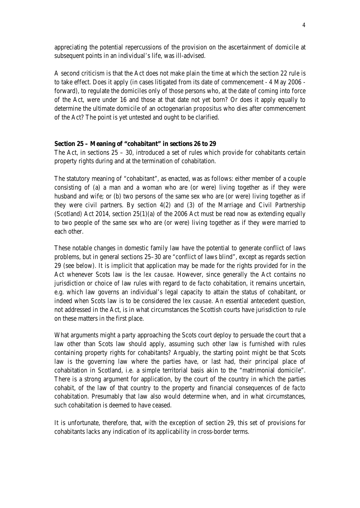appreciating the potential repercussions of the provision on the ascertainment of domicile at subsequent points in an individual's life, was ill-advised.

A second criticism is that the Act does not make plain the time at which the section 22 rule is to take effect. Does it apply (in cases litigated from its date of commencement - 4 May 2006 forward), to regulate the domiciles only of those persons who, at the date of coming into force of the Act, were under 16 and those at that date not yet born? Or does it apply equally to determine the ultimate domicile of an octogenarian *propositus* who dies after commencement of the Act? The point is yet untested and ought to be clarified.

## **Section 25 – Meaning of "cohabitant" in sections 26 to 29**

The Act, in sections  $25 - 30$ , introduced a set of rules which provide for cohabitants certain property rights during and at the termination of cohabitation.

The statutory meaning of "cohabitant", as enacted, was as follows: either member of a couple consisting of (a) a man and a woman who are (or were) living together as if they were husband and wife; or (b) two persons of the same sex who are (or were) living together as if they were civil partners. By section 4(2) and (3) of the Marriage and Civil Partnership (Scotland) Act 2014, section 25(1)(a) of the 2006 Act must be read now as extending equally to two people of the same sex who are (or were) living together as if they were married to each other.

These notable changes in domestic family law have the potential to generate conflict of laws problems, but in general sections 25–30 are "conflict of laws blind", except as regards section 29 (see below). It is implicit that application may be made for the rights provided for in the Act whenever Scots law is the *lex causae*. However, since generally the Act contains no jurisdiction or choice of law rules with regard to *de facto* cohabitation, it remains uncertain, e.g. which law governs an individual's legal capacity to attain the status of cohabitant, or indeed when Scots law is to be considered the *lex causae*. An essential antecedent question, not addressed in the Act, is in what circumstances the Scottish courts have jurisdiction to rule on these matters in the first place.

What arguments might a party approaching the Scots court deploy to persuade the court that a law other than Scots law should apply, assuming such other law is furnished with rules containing property rights for cohabitants? Arguably, the starting point might be that Scots law is the governing law where the parties have, or last had, their principal place of cohabitation in Scotland, i.e. a simple territorial basis akin to the "matrimonial domicile". There is a strong argument for application, by the court of the country in which the parties cohabit, of the law of that country to the property and financial consequences of *de facto* cohabitation. Presumably that law also would determine when, and in what circumstances, such cohabitation is deemed to have ceased.

It is unfortunate, therefore, that, with the exception of section 29, this set of provisions for cohabitants lacks any indication of its applicability in cross-border terms.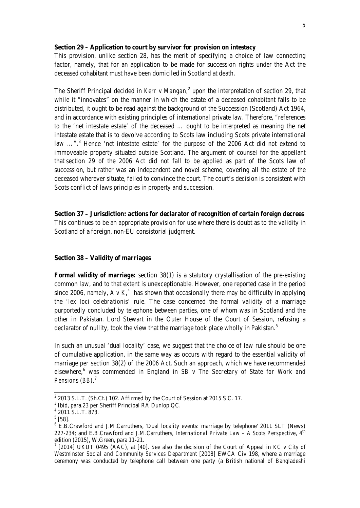#### **Section 29 – Application to court by survivor for provision on intestacy**

This provision, unlike section 28, has the merit of specifying a choice of law connecting factor, namely, that for an application to be made for succession rights under the Act the deceased cohabitant must have been domiciled in Scotland at death.

The Sheriff Principal decided in *Kerr v Mangan*,<sup>[2](#page-4-0)</sup> upon the interpretation of section 29, that while it "innovates" on the manner in which the estate of a deceased cohabitant falls to be distributed, it ought to be read against the background of the Succession (Scotland) Act 1964, and in accordance with existing principles of international private law. Therefore, "references to the 'net intestate estate' of the deceased … ought to be interpreted as meaning the net intestate estate that is to devolve according to Scots law including Scots private international law ...".<sup>[3](#page-4-1)</sup> Hence 'net intestate estate' for the purpose of the 2006 Act did not extend to immoveable property situated *outside* Scotland. The argument of counsel for the appellant that section 29 of the 2006 Act did not fall to be applied as part of the Scots law of succession, but rather was an independent and novel scheme, covering all the estate of the deceased wherever situate, failed to convince the court. The court's decision is consistent with Scots conflict of laws principles in property and succession.

**Section 37 – Jurisdiction: actions for declarator of recognition of certain foreign decrees** This continues to be an appropriate provision for use where there is doubt as to the validity in Scotland of a foreign, non-EU consistorial judgment.

### **Section 38 – Validity of marriages**

*Formal validity of marriage:* section 38(1) is a statutory crystallisation of the pre-existing common law, and to that extent is unexceptionable. However, one reported case in the period since 2006, namely,  $A \, v \, K$ <sup>[4](#page-4-2)</sup> has shown that occasionally there may be difficulty in applying the '*lex loci celebrationis*' rule. The case concerned the formal validity of a marriage purportedly concluded by telephone between parties, one of whom was in Scotland and the other in Pakistan. Lord Stewart in the Outer House of the Court of Session, refusing a declarator of nullity, took the view that the marriage took place wholly in Pakistan.<sup>[5](#page-4-3)</sup>

In such an unusual 'dual locality' case, we suggest that the choice of law rule should be one of cumulative application, in the same way as occurs with regard to the essential validity of marriage *per* section 38(2) of the 2006 Act. Such an approach, which we have recommended elsewhere, [6](#page-4-4) was commended in England in *SB v The Secretary of State for Work and Pensions (BB)*. [7](#page-4-5)

<span id="page-4-0"></span><sup>&</sup>lt;sup>2</sup> 2013 S.L.T. (Sh.Ct.) 102. Affirmed by the Court of Session at 2015 S.C. 17.<br><sup>3</sup> Ibid, para.23 *per* Sheriff Principal RA Dunlop QC.<br><sup>4</sup> 2011 S.L.T. 873.<br><sup>5</sup> [58].

<span id="page-4-2"></span><span id="page-4-1"></span>

<span id="page-4-4"></span><span id="page-4-3"></span> $6$  E.B.Crawford and J.M.Carruthers, 'Dual locality events: marriage by telephone' 2011 SLT (News) 227-234; and E.B.Crawford and J.M.Carruthers, *International Private Law – A Scots Perspective*, 4<sup>th</sup> edition (2015), W.Green, para 11-21.<br><sup>7</sup> [2014] UKUT 0495 (AAC), at [40]. See also the decision of the Court of Appeal in *KC v City of* 

<span id="page-4-5"></span>*Westminster Social and Community Services Department* [2008] EWCA Civ 198, where a marriage ceremony was conducted by telephone call between one party (a British national of Bangladeshi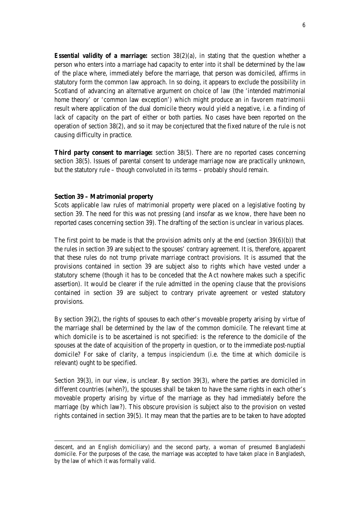*Essential validity of a marriage:* section 38(2)(a), in stating that the question whether a person who enters into a marriage had capacity to enter into it shall be determined by the law of the place where, immediately before the marriage, that person was domiciled, affirms in statutory form the common law approach. In so doing, it appears to exclude the possibility in Scotland of advancing an alternative argument on choice of law (the 'intended matrimonial home theory' or 'common law exception') which might produce an *in favorem matrimonii* result where application of the dual domicile theory would yield a negative, i.e. a finding of lack of capacity on the part of either or both parties. No cases have been reported on the operation of section 38(2), and so it may be conjectured that the fixed nature of the rule is not causing difficulty in practice.

**Third party consent to marriage:** section 38(5). There are no reported cases concerning section 38(5). Issues of parental consent to underage marriage now are practically unknown, but the statutory rule – though convoluted in its terms – probably should remain.

#### **Section 39 – Matrimonial property**

-

Scots applicable law rules of matrimonial property were placed on a legislative footing by section 39. The need for this was not pressing (and insofar as we know, there have been no reported cases concerning section 39). The drafting of the section is unclear in various places.

The first point to be made is that the provision admits only at the end (section  $39(6)(b)$ ) that the rules in section 39 are subject to the spouses' contrary agreement. It is, therefore, apparent that these rules do not trump private marriage contract provisions. It is assumed that the provisions contained in section 39 are subject also to rights which have vested under a statutory scheme (though it has to be conceded that the Act nowhere makes such a specific assertion). It would be clearer if the rule admitted in the opening clause that the provisions contained in section 39 are subject to contrary private agreement or vested statutory provisions.

By section 39(2), the rights of spouses to each other's moveable property arising by virtue of the marriage shall be determined by the law of the common domicile. The relevant time at which domicile is to be ascertained is not specified: is the reference to the domicile of the spouses at the date of acquisition of the property in question, or to the immediate post-nuptial domicile? For sake of clarity, a *tempus inspiciendum* (i.e. the time at which domicile is relevant) ought to be specified.

Section 39(3), in our view, is unclear. By section 39(3), where the parties are domiciled in different countries (when?), the spouses shall be taken to have the same rights in each other's moveable property arising by virtue of the marriage as they had immediately before the marriage (by which law?). This obscure provision is subject also to the provision on vested rights contained in section 39(5). It may mean that the parties are to be taken to have adopted

descent, and an English domiciliary) and the second party, a woman of presumed Bangladeshi domicile. For the purposes of the case, the marriage was accepted to have taken place in Bangladesh, by the law of which it was formally valid.